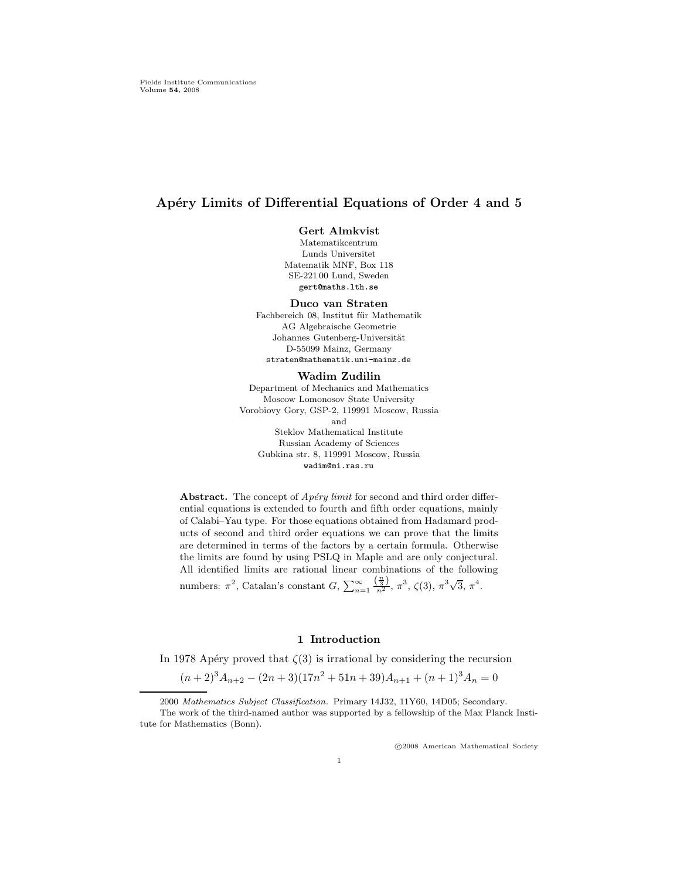# Apéry Limits of Differential Equations of Order 4 and 5

## Gert Almkvist

Matematikcentrum Lunds Universitet Matematik MNF, Box 118 SE-221 00 Lund, Sweden gert@maths.lth.se

#### Duco van Straten

Fachbereich 08, Institut für Mathematik AG Algebraische Geometrie Johannes Gutenberg-Universität D-55099 Mainz, Germany straten@mathematik.uni-mainz.de

### Wadim Zudilin

Department of Mechanics and Mathematics Moscow Lomonosov State University Vorobiovy Gory, GSP-2, 119991 Moscow, Russia and Steklov Mathematical Institute Russian Academy of Sciences Gubkina str. 8, 119991 Moscow, Russia wadim@mi.ras.ru

Abstract. The concept of  $Apéry limit$  for second and third order differential equations is extended to fourth and fifth order equations, mainly of Calabi–Yau type. For those equations obtained from Hadamard products of second and third order equations we can prove that the limits are determined in terms of the factors by a certain formula. Otherwise the limits are found by using PSLQ in Maple and are only conjectural. All identified limits are rational linear combinations of the following numbers:  $\pi^2$ , Catalan's constant  $G$ ,  $\sum_{n=1}^{\infty} \frac{\left(\frac{n}{3}\right)}{n^2}$ ,  $\pi^3$ ,  $\zeta(3)$ ,  $\pi^3\sqrt{3}$ ,  $\pi^4$ .

## 1 Introduction

In 1978 Apéry proved that  $\zeta(3)$  is irrational by considering the recursion

$$
(n+2)^3 A_{n+2} - (2n+3)(17n^2 + 51n + 39)A_{n+1} + (n+1)^3 A_n = 0
$$

c 2008 American Mathematical Society

<sup>2000</sup> Mathematics Subject Classification. Primary 14J32, 11Y60, 14D05; Secondary. The work of the third-named author was supported by a fellowship of the Max Planck Institute for Mathematics (Bonn).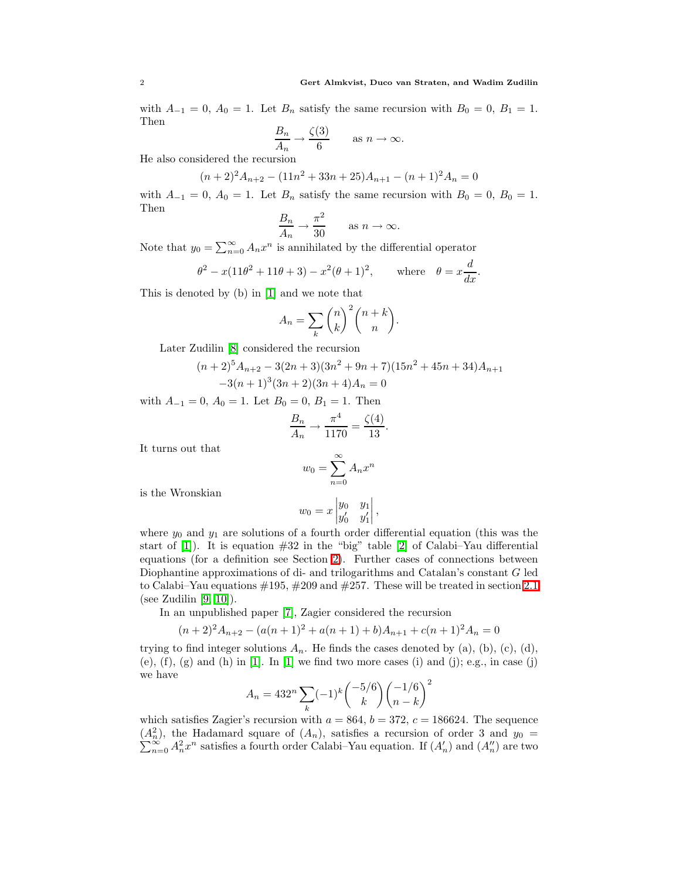with  $A_{-1} = 0$ ,  $A_0 = 1$ . Let  $B_n$  satisfy the same recursion with  $B_0 = 0$ ,  $B_1 = 1$ . Then

$$
\frac{B_n}{A_n} \to \frac{\zeta(3)}{6} \quad \text{as } n \to \infty.
$$

He also considered the recursion

$$
(n+2)^2 A_{n+2} - (11n^2 + 33n + 25)A_{n+1} - (n+1)^2 A_n = 0
$$

with  $A_{-1} = 0$ ,  $A_0 = 1$ . Let  $B_n$  satisfy the same recursion with  $B_0 = 0$ ,  $B_0 = 1$ . Then

$$
\frac{B_n}{A_n} \to \frac{\pi^2}{30} \quad \text{as } n \to \infty.
$$

Note that  $y_0 = \sum_{n=0}^{\infty} A_n x^n$  is annihilated by the differential operator

$$
\theta^2 - x(11\theta^2 + 11\theta + 3) - x^2(\theta + 1)^2
$$
, where  $\theta = x\frac{d}{dx}$ .

This is denoted by (b) in [\[1\]](#page-17-0) and we note that

$$
A_n = \sum_{k} \binom{n}{k}^2 \binom{n+k}{n}.
$$

Later Zudilin [\[8\]](#page-18-0) considered the recursion

$$
(n+2)^5 A_{n+2} - 3(2n+3)(3n^2+9n+7)(15n^2+45n+34)A_{n+1}
$$
  
-3(n+1)<sup>3</sup>(3n+2)(3n+4)A<sub>n</sub> = 0

.

with  $A_{-1} = 0$ ,  $A_0 = 1$ . Let  $B_0 = 0$ ,  $B_1 = 1$ . Then

$$
\frac{B_n}{A_n} \to \frac{\pi^4}{1170} = \frac{\zeta(4)}{13}
$$

It turns out that

$$
w_0 = \sum_{n=0}^{\infty} A_n x^n
$$

is the Wronskian

$$
w_0 = x \begin{vmatrix} y_0 & y_1 \\ y'_0 & y'_1 \end{vmatrix},
$$

where  $y_0$  and  $y_1$  are solutions of a fourth order differential equation (this was the start of  $[1]$ ). It is equation  $\#32$  in the "big" table  $[2]$  of Calabi–Yau differential equations (for a definition see Section [2\)](#page-2-0). Further cases of connections between Diophantine approximations of di- and trilogarithms and Catalan's constant G led to Calabi–Yau equations  $\#195$ ,  $\#209$  and  $\#257$ . These will be treated in section [2.1](#page-2-1) (see Zudilin  $[9, 10]$  $[9, 10]$ ).

In an unpublished paper [\[7\]](#page-18-3), Zagier considered the recursion

$$
(n+2)^2 A_{n+2} - (a(n+1)^2 + a(n+1) + b)A_{n+1} + c(n+1)^2 A_n = 0
$$

trying to find integer solutions  $A_n$ . He finds the cases denoted by (a), (b), (c), (d),  $(e)$ ,  $(f)$ ,  $(g)$  and  $(h)$  in  $[1]$ . In  $[1]$  we find two more cases  $(i)$  and  $(j)$ ; e.g., in case  $(j)$ we have

$$
A_n = 432^n \sum_{k} (-1)^k \binom{-5/6}{k} \binom{-1/6}{n-k}^2
$$

which satisfies Zagier's recursion with  $a = 864$ ,  $b = 372$ ,  $c = 186624$ . The sequence  $(A_n^2)$ , the Hadamard square of  $(A_n)$ , satisfies a recursion of order 3 and  $y_0 = \sum_{n=0}^{\infty} A_n^2 x^n$  satisfies a fourth order Calabi–Yau equation. If  $(A_n)$  and  $(A_n'')$  are two  $\sum_{n=0}^{\infty} A_n^2 x^n$  satisfies a fourth order Calabi–Yau equation. If  $(A'_n)$  and  $(A''_n)$  are two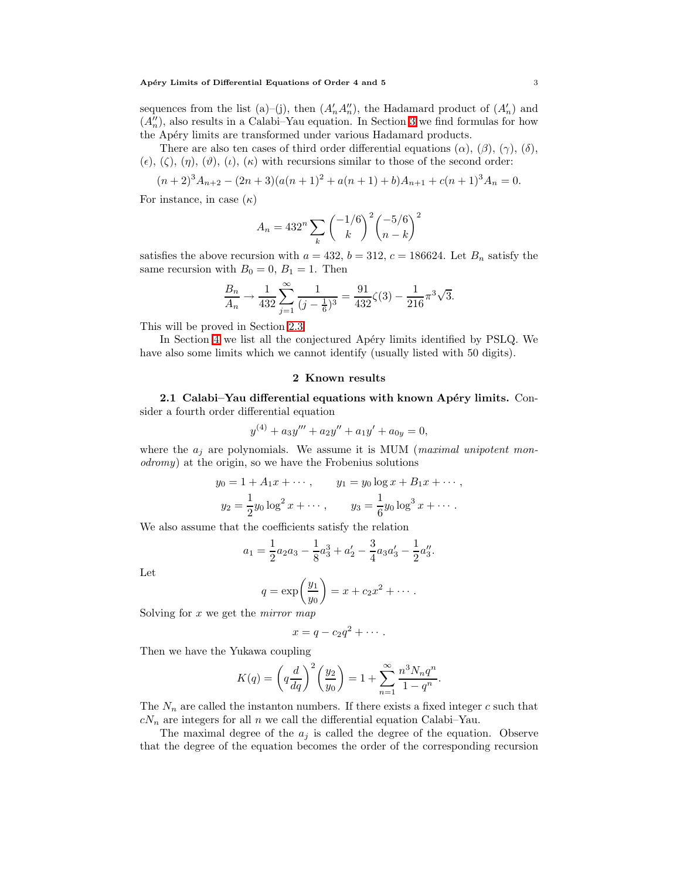#### Apéry Limits of Differential Equations of Order 4 and 5 3 3

sequences from the list (a)–(j), then  $(A'_n A''_n)$ , the Hadamard product of  $(A'_n)$  and  $(A_n^{\prime\prime})$ , also results in a Calabi–Yau equation. In Section [3](#page-10-0) we find formulas for how the Apéry limits are transformed under various Hadamard products.

There are also ten cases of third order differential equations  $(\alpha)$ ,  $(\beta)$ ,  $(\gamma)$ ,  $(\delta)$ ,  $(\epsilon)$ ,  $(\zeta)$ ,  $(\eta)$ ,  $(\vartheta)$ ,  $(\iota)$ ,  $(\kappa)$  with recursions similar to those of the second order:

$$
(n+2)^3 A_{n+2} - (2n+3)(a(n+1)^2 + a(n+1) + b)A_{n+1} + c(n+1)^3 A_n = 0.
$$

For instance, in case  $(\kappa)$ 

$$
A_n = 432^n \sum_{k} \binom{-1/6}{k}^2 \binom{-5/6}{n-k}^2
$$

satisfies the above recursion with  $a = 432$ ,  $b = 312$ ,  $c = 186624$ . Let  $B_n$  satisfy the same recursion with  $B_0 = 0$ ,  $B_1 = 1$ . Then

$$
\frac{B_n}{A_n} \to \frac{1}{432} \sum_{j=1}^{\infty} \frac{1}{(j - \frac{1}{6})^3} = \frac{91}{432} \zeta(3) - \frac{1}{216} \pi^3 \sqrt{3}.
$$

This will be proved in Section [2.3.](#page-7-0)

<span id="page-2-0"></span>In Section [4](#page-15-0) we list all the conjectured Apéry limits identified by PSLQ. We have also some limits which we cannot identify (usually listed with 50 digits).

## 2 Known results

<span id="page-2-1"></span>2.1 Calabi–Yau differential equations with known Apéry limits. Consider a fourth order differential equation

$$
y^{(4)} + a_3y''' + a_2y'' + a_1y' + a_{0y} = 0,
$$

where the  $a_j$  are polynomials. We assume it is MUM (*maximal unipotent mon*odromy) at the origin, so we have the Frobenius solutions

$$
y_0 = 1 + A_1 x + \cdots
$$
,  $y_1 = y_0 \log x + B_1 x + \cdots$ ,  
\n $y_2 = \frac{1}{2} y_0 \log^2 x + \cdots$ ,  $y_3 = \frac{1}{6} y_0 \log^3 x + \cdots$ .

We also assume that the coefficients satisfy the relation

$$
a_1 = \frac{1}{2}a_2a_3 - \frac{1}{8}a_3^3 + a_2' - \frac{3}{4}a_3a_3' - \frac{1}{2}a_3''.
$$

Let

$$
q = \exp\left(\frac{y_1}{y_0}\right) = x + c_2 x^2 + \cdots.
$$

Solving for  $x$  we get the *mirror* map

$$
x=q-c_2q^2+\cdots.
$$

Then we have the Yukawa coupling

$$
K(q) = \left(q\frac{d}{dq}\right)^2 \left(\frac{y_2}{y_0}\right) = 1 + \sum_{n=1}^{\infty} \frac{n^3 N_n q^n}{1 - q^n}.
$$

The  $N_n$  are called the instanton numbers. If there exists a fixed integer c such that  $c_{n}$  are integers for all n we call the differential equation Calabi–Yau.

The maximal degree of the  $a_j$  is called the degree of the equation. Observe that the degree of the equation becomes the order of the corresponding recursion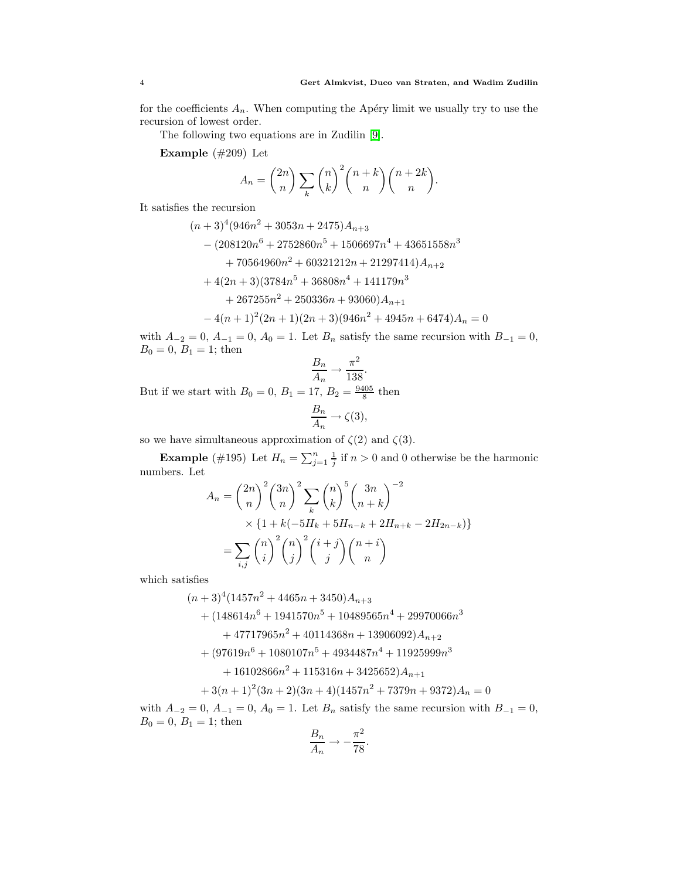for the coefficients  $A_n$ . When computing the Apéry limit we usually try to use the recursion of lowest order.

The following two equations are in Zudilin [\[9\]](#page-18-1).

Example (#209) Let

$$
A_n = \binom{2n}{n} \sum_{k} \binom{n}{k}^2 \binom{n+k}{n} \binom{n+2k}{n}.
$$

It satisfies the recursion

$$
(n+3)^4(946n^2+3053n+2475)A_{n+3}
$$
  
– (208120n<sup>6</sup> + 2752860n<sup>5</sup> + 1506697n<sup>4</sup> + 43651558n<sup>3</sup>  
+ 70564960n<sup>2</sup> + 60321212n + 21297414)A\_{n+2}  
+ 4(2n+3)(3784n<sup>5</sup> + 36808n<sup>4</sup> + 141179n<sup>3</sup>  
+ 267255n<sup>2</sup> + 250336n + 93060)A\_{n+1}  
- 4(n+1)<sup>2</sup>(2n+1)(2n+3)(946n<sup>2</sup> + 4945n + 6474)A\_n = 0

with  $A_{-2} = 0$ ,  $A_{-1} = 0$ ,  $A_0 = 1$ . Let  $B_n$  satisfy the same recursion with  $B_{-1} = 0$ ,  $B_0 = 0, B_1 = 1$ ; then

$$
\frac{B_n}{A_n} \to \frac{\pi^2}{138}.
$$

But if we start with  $B_0 = 0, B_1 = 17, B_2 = \frac{9405}{8}$  then

$$
\frac{B_n}{A_n} \to \zeta(3),
$$

so we have simultaneous approximation of  $\zeta(2)$  and  $\zeta(3)$ .

**Example** (#195) Let  $H_n = \sum_{j=1}^n \frac{1}{j}$  if  $n > 0$  and 0 otherwise be the harmonic numbers. Let

$$
A_n = {2n \choose n}^2 {3n \choose n}^2 \sum_{k} {n \choose k}^5 {3n \choose n+k}^{-2}
$$
  
 
$$
\times \{1 + k(-5H_k + 5H_{n-k} + 2H_{n+k} - 2H_{2n-k})\}
$$
  
 
$$
= \sum_{i,j} {n \choose i}^2 {n \choose j}^2 {i+j \choose j} {n+i \choose n}
$$

which satisfies

$$
(n+3)^4(1457n^2+4465n+3450)A_{n+3}
$$
  
+  $(148614n^6+1941570n^5+10489565n^4+29970066n^3$   
+  $47717965n^2+40114368n+13906092)A_{n+2}$   
+  $(97619n^6+1080107n^5+4934487n^4+11925999n^3$   
+  $16102866n^2+115316n+3425652)A_{n+1}$   
+  $3(n+1)^2(3n+2)(3n+4)(1457n^2+7379n+9372)A_n = 0$   
- $2=0, A_{-1}=0, A_0=1$ . Let  $B_n$  satisfy the same recursion with  $B_n = -1$ ; then

with  $A_{-2} = 0$ ,  $A_{-1} = 0$ ,  $A_0 = 1$ . Let  $B_n$  satisfy the same recursion with  $B_{-1} = 0$ ,  $B_0 = 0, B_1 = 1$ ; then  $\overline{D}$  $\overline{2}$ 

$$
\frac{B_n}{A_n} \to -\frac{\pi^2}{78}.
$$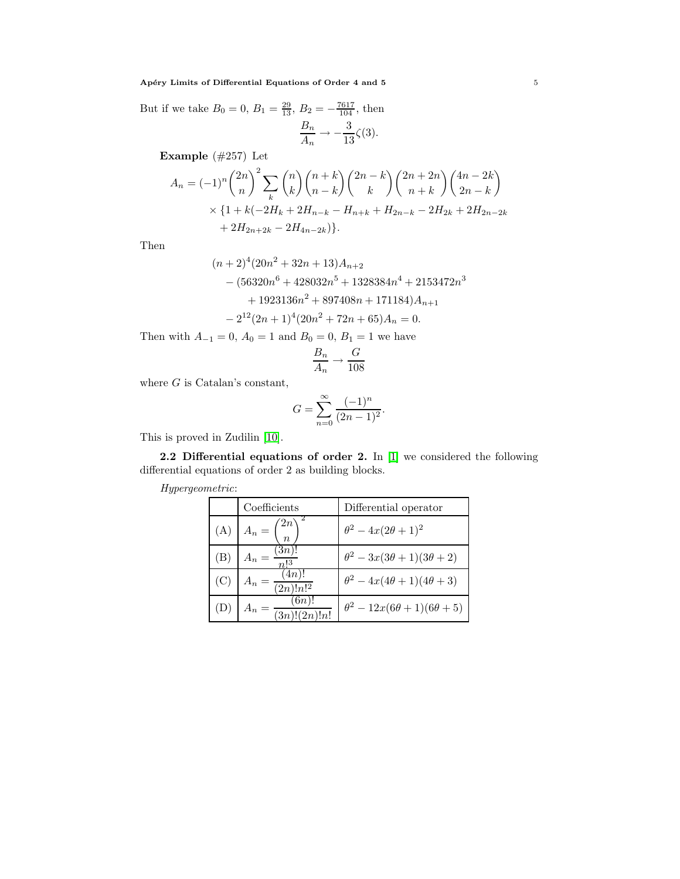But if we take  $B_0 = 0$ ,  $B_1 = \frac{29}{13}$ ,  $B_2 = -\frac{7617}{104}$ , then  $B_n$  $\overline{A_n} \rightarrow -$ 3  $\frac{5}{13}\zeta(3)$ .

Example (#257) Let

$$
A_n = (-1)^n \binom{2n}{n}^2 \sum_{k} \binom{n}{k} \binom{n+k}{n-k} \binom{2n-k}{k} \binom{2n+2n}{n+k} \binom{4n-2k}{2n-k}
$$
  
 
$$
\times \{1 + k(-2H_k + 2H_{n-k} - H_{n+k} + H_{2n-k} - 2H_{2k} + 2H_{2n-2k} + 2H_{2n+2k} - 2H_{4n-2k})\}.
$$

Then

$$
(n+2)^{4}(20n^{2}+32n+13)A_{n+2}
$$
  
-(56320n<sup>6</sup> + 428032n<sup>5</sup> + 1328384n<sup>4</sup> + 2153472n<sup>3</sup>  
+ 1923136n<sup>2</sup> + 897408n + 171184)A\_{n+1}  
- 2<sup>12</sup>(2n+1)<sup>4</sup>(20n<sup>2</sup> + 72n + 65)A\_{n} = 0.

Then with  $A_{-1} = 0$ ,  $A_0 = 1$  and  $B_0 = 0$ ,  $B_1 = 1$  we have

$$
\frac{B_n}{A_n} \to \frac{G}{108}
$$

where  $G$  is Catalan's constant,

$$
G = \sum_{n=0}^{\infty} \frac{(-1)^n}{(2n-1)^2}.
$$

This is proved in Zudilin [\[10\]](#page-18-2).

2.2 Differential equations of order 2. In [\[1\]](#page-17-0) we considered the following differential equations of order 2 as building blocks.

| Hypergeometric: |  |
|-----------------|--|
|-----------------|--|

|     | Coefficients                          | Differential operator                      |
|-----|---------------------------------------|--------------------------------------------|
| (A) | $A_n = \binom{2n}{n}$                 | $\theta^2 - 4x(2\theta + 1)^2$             |
| (B) | $A_n = \frac{(\overline{3n})!}{n!^3}$ | $\theta^2 - 3x(3\theta + 1)(3\theta + 2)$  |
| (C) | (4n)!<br>$-\frac{1}{(2n)!n!^2}$       | $\theta^2 - 4x(4\theta + 1)(4\theta + 3)$  |
| (D) | (6n)<br>$=\frac{1}{(3n)!}(2n)!n!$     | $\theta^2 - 12x(6\theta + 1)(6\theta + 5)$ |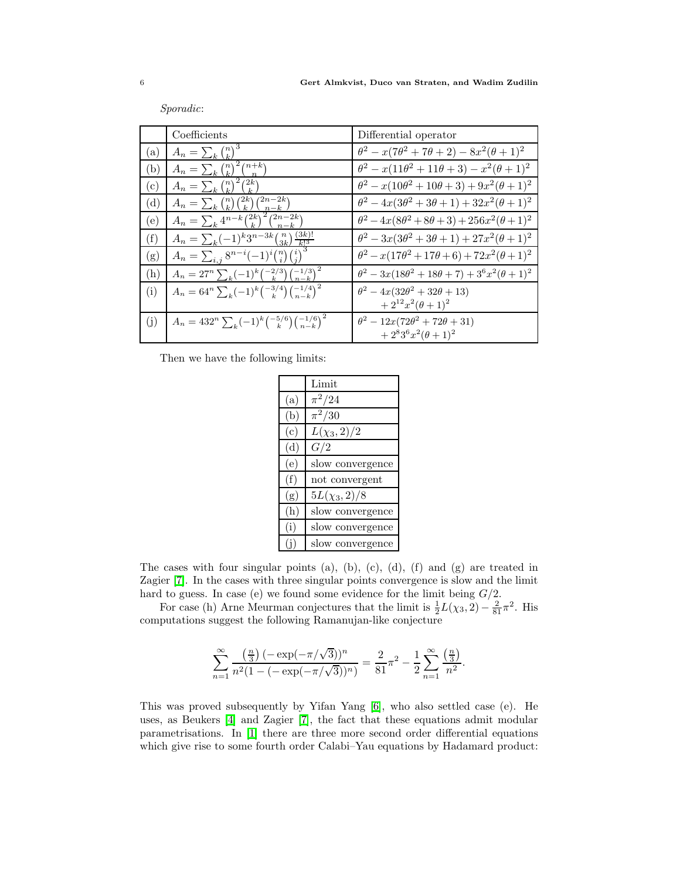|              | Coefficients                                                         | Differential operator                                             |
|--------------|----------------------------------------------------------------------|-------------------------------------------------------------------|
| (a)          | $A_n = \sum_k {n \choose k}^3$                                       | $\theta^2 - x(7\theta^2 + 7\theta + 2) - 8x^2(\theta + 1)^2$      |
| (b)          | $A_n = \sum_k {n \choose k}^2 {n+k \choose n}$                       | $\theta^2 - x(11\theta^2 + 11\theta + 3) - x^2(\theta + 1)^2$     |
| $\rm (c)$    | (2k)<br>$A_n = \sum_k {n \choose k}^2$                               | $\theta^2 - x(10\theta^2 + 10\theta + 3) + 9x^2(\theta + 1)^2$    |
| $\rm ^{(d)}$ | $A_n = \sum_k {n \choose k} {2k \choose k} {2n-2k \choose n-k}$      | $\theta^2 - 4x(3\theta^2 + 3\theta + 1) + 32x^2(\theta + 1)^2$    |
| (e)          | $A_n = \sum_k 4^{n-k} \binom{2k}{k}^2 \overline{\binom{2n-2k}{n-k}}$ | $\theta^2 - 4x(8\theta^2 + 8\theta + 3) + 256x^2(\theta + 1)^2$   |
| (f)          | $A_n = \sum_k (-1)^k 3^{n-3k} \binom{n}{3k} \frac{(3k)!}{k!^3}$      | $\theta^2 - 3x(3\theta^2 + 3\theta + 1) + 27x^2(\theta + 1)^2$    |
| (g)          | $A_n = \sum_{i,j} 8^{n-i} (-1)^i {n \choose i} {i \choose j}$        | $\theta^2 - x(17\theta^2 + 17\theta + 6) + 72x^2(\theta + 1)^2$   |
| (h)          | $A_n = 27^n \sum_{k} (-1)^k \binom{-2/3}{k} \binom{-1/3}{n-k}^2$     | $\theta^2 - 3x(18\theta^2 + 18\theta + 7) + 3^6x^2(\theta + 1)^2$ |
| (i)          | $A_n = 64^n \sum_{k} (-1)^k \binom{-3/4}{k} \binom{-1/4}{n-k}^2$     | $\theta^2 - 4x(32\theta^2 + 32\theta + 13)$                       |
|              |                                                                      | $+2^{12}x^2(\theta+1)^2$                                          |
| (j)          | $A_n = 432^n \sum_k (-1)^k \binom{-5/6}{k} \binom{-1/6}{n-k}^2$      | $\theta^2 - 12x(72\theta^2 + 72\theta + 31)$                      |
|              |                                                                      | $+2^{8}3^{6}x^{2}(\theta+1)^{2}$                                  |

Sporadic:

Then we have the following limits:

|           | Limit             |
|-----------|-------------------|
| (a)       | $\pi^2/24$        |
| (b)       | $\pi^2/30$        |
| $\left( $ | $L(\chi_3, 2)/2$  |
| (d)       | G/2               |
| (e)       | slow convergence  |
| (f)       | not convergent    |
| (g)       | $5L(\chi_3, 2)/8$ |
| (h)       | slow convergence  |
| (i)       | slow convergence  |
|           | slow convergence  |

The cases with four singular points (a), (b), (c), (d), (f) and (g) are treated in Zagier [\[7\]](#page-18-3). In the cases with three singular points convergence is slow and the limit hard to guess. In case (e) we found some evidence for the limit being  $G/2$ .

For case (h) Arne Meurman conjectures that the limit is  $\frac{1}{2}L(\chi_3, 2) - \frac{2}{81}\pi^2$ . His computations suggest the following Ramanujan-like conjecture

$$
\sum_{n=1}^{\infty} \frac{\left(\frac{n}{3}\right) (-\exp(-\pi/\sqrt{3}))^n}{n^2 (1 - (-\exp(-\pi/\sqrt{3}))^n)} = \frac{2}{81} \pi^2 - \frac{1}{2} \sum_{n=1}^{\infty} \frac{\left(\frac{n}{3}\right)}{n^2}.
$$

This was proved subsequently by Yifan Yang [\[6\]](#page-17-2), who also settled case (e). He uses, as Beukers [\[4\]](#page-17-3) and Zagier [\[7\]](#page-18-3), the fact that these equations admit modular parametrisations. In [\[1\]](#page-17-0) there are three more second order differential equations which give rise to some fourth order Calabi–Yau equations by Hadamard product: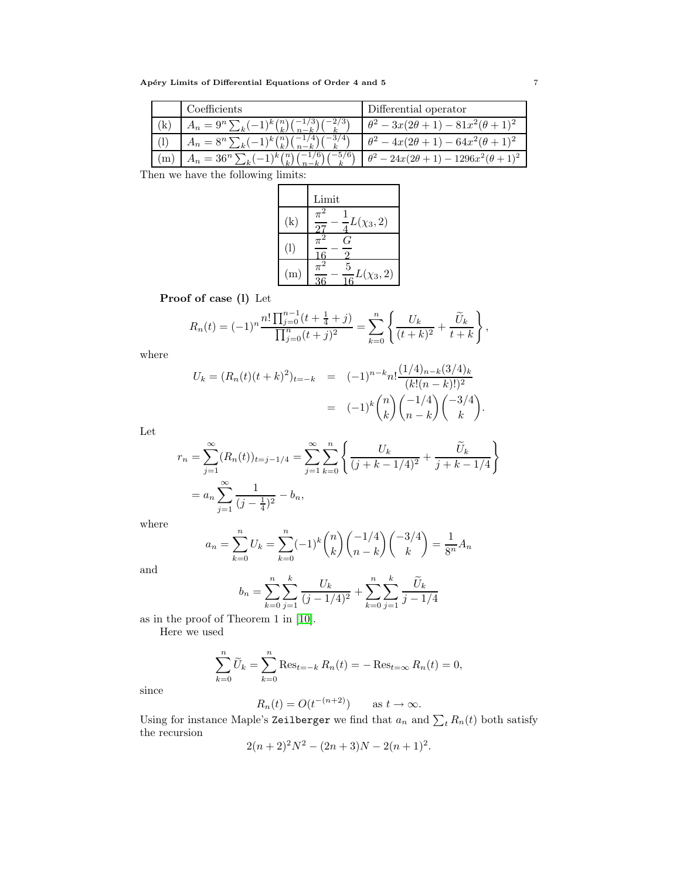Apéry Limits of Differential Equations of Order 4 and 5  $\hspace{0.2cm}$  7

|              | Coefficients                             | Differential operator                                 |
|--------------|------------------------------------------|-------------------------------------------------------|
| $\mathbf{k}$ | $A_n = 9^n \sum_k (-1)^k {n \choose k}$  | $\theta^2 - 3x(2\theta + 1) - 81x^2(\theta + 1)^2$    |
|              | $A_n = 8^n \sum_k (-1)^k {n \choose k}$  | $\theta^2 - 4x(2\theta + 1) - 64x^2(\theta + 1)^2$    |
| m            | $A_n = 36^n \sum_k (-1)^k {n \choose k}$ | $\theta^2 - 24x(2\theta + 1) - 1296x^2(\theta + 1)^2$ |

Then we have the following limits:

|                   | Limit                                        |
|-------------------|----------------------------------------------|
| $\left( k\right)$ | $\frac{1}{4}L(\chi_3, 2)$                    |
| (1)               | ۰,                                           |
| (m)               | - 2<br>5<br>$\frac{0}{16}L(\chi_3, 2)$<br>36 |

Proof of case (l) Let

$$
R_n(t) = (-1)^n \frac{n! \prod_{j=0}^{n-1} (t + \frac{1}{4} + j)}{\prod_{j=0}^n (t + j)^2} = \sum_{k=0}^n \left\{ \frac{U_k}{(t + k)^2} + \frac{\widetilde{U}_k}{t + k} \right\},\,
$$

where

$$
U_k = (R_n(t)(t+k)^2)_{t=-k} = (-1)^{n-k} n! \frac{(1/4)_{n-k} (3/4)_k}{(k!(n-k)!)^2}
$$
  
= 
$$
(-1)^k \binom{n}{k} \binom{-1/4}{n-k} \binom{-3/4}{k}.
$$

Let

$$
r_n = \sum_{j=1}^{\infty} (R_n(t))_{t=j-1/4} = \sum_{j=1}^{\infty} \sum_{k=0}^n \left\{ \frac{U_k}{(j+k-1/4)^2} + \frac{\widetilde{U}_k}{j+k-1/4} \right\}
$$
  
=  $a_n \sum_{j=1}^{\infty} \frac{1}{(j-\frac{1}{4})^2} - b_n$ ,

where

$$
a_n = \sum_{k=0}^n U_k = \sum_{k=0}^n (-1)^k \binom{n}{k} \binom{-1/4}{n-k} \binom{-3/4}{k} = \frac{1}{8^n} A_n
$$

and

$$
b_n = \sum_{k=0}^{n} \sum_{j=1}^{k} \frac{U_k}{(j - 1/4)^2} + \sum_{k=0}^{n} \sum_{j=1}^{k} \frac{\widetilde{U}_k}{j - 1/4}
$$

as in the proof of Theorem 1 in [\[10\]](#page-18-2).

Here we used

$$
\sum_{k=0}^{n} \widetilde{U}_k = \sum_{k=0}^{n} \text{Res}_{t=-k} R_n(t) = -\text{Res}_{t=\infty} R_n(t) = 0,
$$

since

$$
R_n(t) = O(t^{-(n+2)}) \quad \text{as } t \to \infty.
$$

Using for instance Maple's Zeilberger we find that  $a_n$  and  $\sum_t R_n(t)$  both satisfy the recursion

$$
2(n+2)^2N^2 - (2n+3)N - 2(n+1)^2.
$$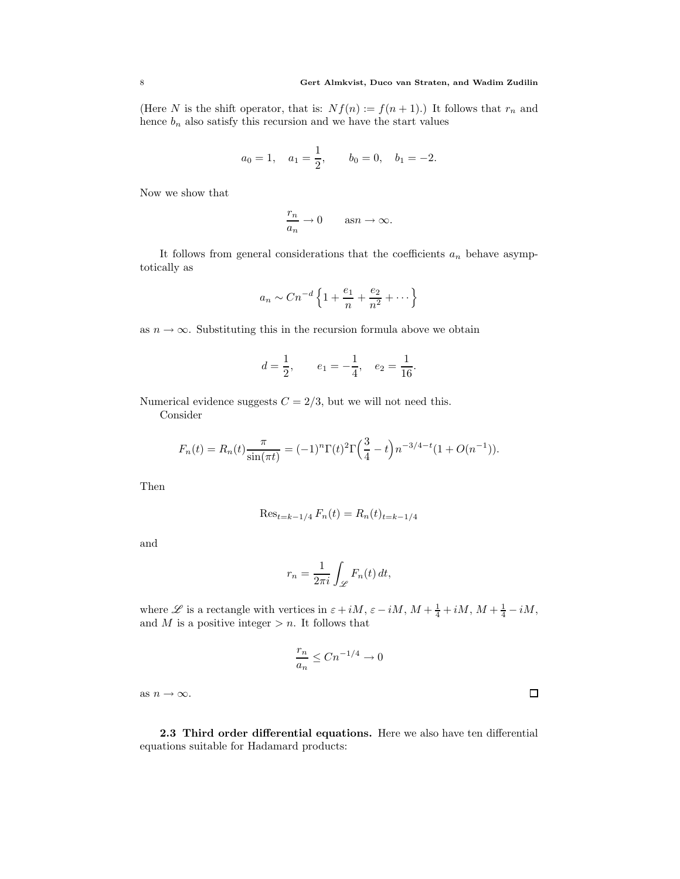(Here N is the shift operator, that is:  $Nf(n) := f(n+1)$ .) It follows that  $r_n$  and hence  $b_n$  also satisfy this recursion and we have the start values

$$
a_0 = 1
$$
,  $a_1 = \frac{1}{2}$ ,  $b_0 = 0$ ,  $b_1 = -2$ .

Now we show that

$$
\frac{r_n}{a_n} \to 0 \quad \text{as} n \to \infty.
$$

It follows from general considerations that the coefficients  $a_n$  behave asymptotically as

$$
a_n \sim Cn^{-d} \left\{ 1 + \frac{e_1}{n} + \frac{e_2}{n^2} + \dots \right\}
$$

as  $n \to \infty$ . Substituting this in the recursion formula above we obtain

$$
d = \frac{1}{2}
$$
,  $e_1 = -\frac{1}{4}$ ,  $e_2 = \frac{1}{16}$ .

Numerical evidence suggests  $C = 2/3$ , but we will not need this.

Consider

$$
F_n(t) = R_n(t) \frac{\pi}{\sin(\pi t)} = (-1)^n \Gamma(t)^2 \Gamma\left(\frac{3}{4} - t\right) n^{-3/4 - t} (1 + O(n^{-1})).
$$

Then

$$
\operatorname{Res}_{t=k-1/4} F_n(t) = R_n(t)_{t=k-1/4}
$$

and

$$
r_n = \frac{1}{2\pi i} \int_{\mathscr{L}} F_n(t) dt,
$$

where  $\mathscr L$  is a rectangle with vertices in  $\varepsilon + iM$ ,  $\varepsilon - iM$ ,  $M + \frac{1}{4} + iM$ ,  $M + \frac{1}{4} - iM$ , and M is a positive integer  $>n$ . It follows that

$$
\frac{r_n}{a_n} \le Cn^{-1/4} \to 0
$$

as  $n \to \infty$ .

<span id="page-7-0"></span>2.3 Third order differential equations. Here we also have ten differential equations suitable for Hadamard products:

 $\Box$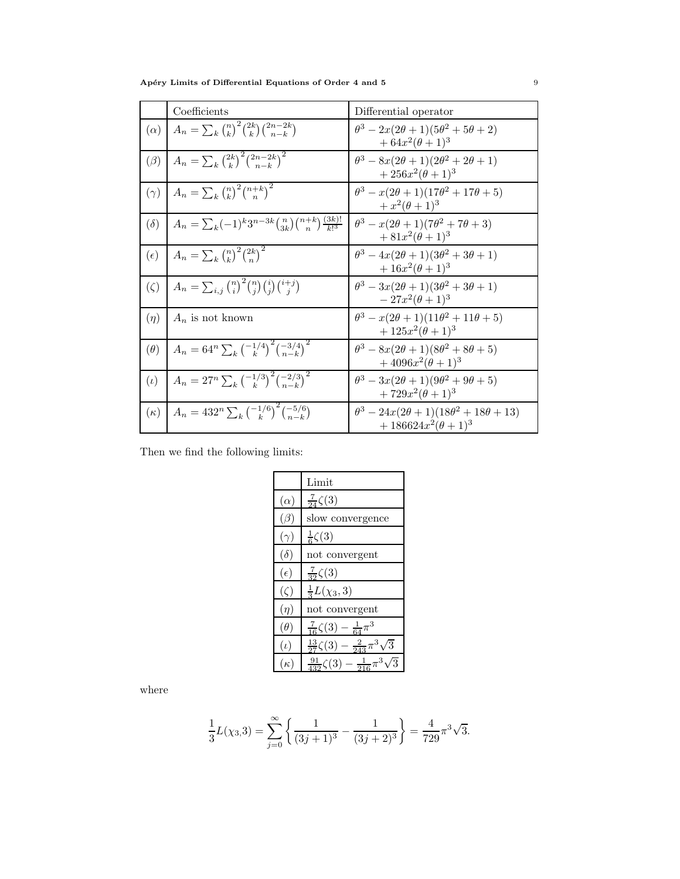Apéry Limits of Differential Equations of Order 4 and 5  $\hskip 1.5cm 9$ 

|              | Coefficients                                                                       | Differential operator                                                                     |
|--------------|------------------------------------------------------------------------------------|-------------------------------------------------------------------------------------------|
| $(\alpha)$   | $A_n = \sum_k {n \choose k}^2 {2k \choose k} {2n-2k \choose n-k}$                  | $\theta^3 - 2x(2\theta + 1)(5\theta^2 + 5\theta + 2)$<br>$+ 64x^2(\theta+1)^3$            |
| $(\beta)$    | $A_n = \sum_{k} \binom{2k}{k}^2 \binom{2n-2k}{n-k}^2$                              | $\theta^3 - 8x(2\theta + 1)(2\theta^2 + 2\theta + 1)$<br>$+256x^2(\theta+1)^3$            |
| $(\gamma)$   | $A_n = \sum_k {n \choose k}^2 {n+k \choose n}^2$                                   | $\theta^3 - x(2\theta + 1)(17\theta^2 + 17\theta + 5)$<br>$+ x^2(\theta+1)^3$             |
| $(\delta)$   | $A_n = \sum_{k} (-1)^k 3^{n-3k} {n \choose 3k} {n+k \choose n} \frac{(3k)!}{k!^3}$ | $\theta^3 - x(2\theta + 1)(7\theta^2 + 7\theta + 3)$<br>$+81x^{2}(\theta+1)^{3}$          |
| $(\epsilon)$ | $A_n = \sum_{k} \binom{n}{k}^2 \binom{2k}{n}^2$                                    | $\theta^3 - 4x(2\theta + 1)(3\theta^2 + 3\theta + 1)$<br>$+16x^2(\theta+1)^3$             |
| $(\zeta)$    | $A_n = \sum_{i,j} {n \choose i}^2 {n \choose j} {i \choose j} {i+j \choose j}$     | $\theta^3 - 3x(2\theta + 1)(3\theta^2 + 3\theta + 1)$<br>$-27x^2(\theta+1)^3$             |
| $(\eta)$     | $A_n$ is not known                                                                 | $\theta^3 - x(2\theta + 1)(11\theta^2 + 11\theta + 5)$<br>$+125x^2(\theta+1)^3$           |
| $(\theta)$   | $A_n = 64^n \sum_{k} {\binom{-1/4}{k}}^2 {\binom{-3/4}{n-k}}^2$                    | $\theta^3 - 8x(2\theta + 1)(8\theta^2 + 8\theta + 5)$<br>$+4096x^{2}(\theta+1)^{3}$       |
| $(\iota)$    | $A_n = 27^n \sum_k \left(\frac{-1/3}{k}\right)^2 \left(\frac{-2/3}{n-k}\right)^2$  | $\theta^3 - 3x(2\theta + 1)(9\theta^2 + 9\theta + 5)$<br>$+729x^{2}(\theta+1)^{3}$        |
| $(\kappa)$   | $A_n = 432^n \sum_k \left(\frac{-1/6}{k}\right)^2 \left(\frac{-5/6}{n-k}\right)$   | $\theta^3 - 24x(2\theta + 1)(18\theta^2 + 18\theta + 13)$<br>$+186624x^{2}(\theta+1)^{3}$ |

Then we find the following limits:

|              | Limit                                                  |
|--------------|--------------------------------------------------------|
| $(\alpha)$   | $\frac{7}{24}\zeta(3)$                                 |
| $(\beta)$    | slow convergence                                       |
| $(\gamma)$   | $\frac{1}{6}\zeta(3)$                                  |
| $(\delta)$   | not convergent                                         |
| $(\epsilon)$ | $\frac{7}{32}\zeta(3)$                                 |
| $(\zeta)$    | $\frac{1}{3}L(\chi_3,3)$                               |
| $(\eta)$     | not convergent                                         |
| $(\theta)$   | $\frac{7}{16}\zeta(3)-\frac{1}{64}\pi^3$               |
| $(\iota)$    | $\frac{13}{27}\zeta(3) - \frac{2}{243}\pi^3$<br>΄3     |
| $(\kappa)$   | $\frac{91}{432}\zeta(3)-\frac{1}{216}\pi$<br>$\bar{3}$ |

where

$$
\frac{1}{3}L(\chi_3,3) = \sum_{j=0}^{\infty} \left\{ \frac{1}{(3j+1)^3} - \frac{1}{(3j+2)^3} \right\} = \frac{4}{729} \pi^3 \sqrt{3}.
$$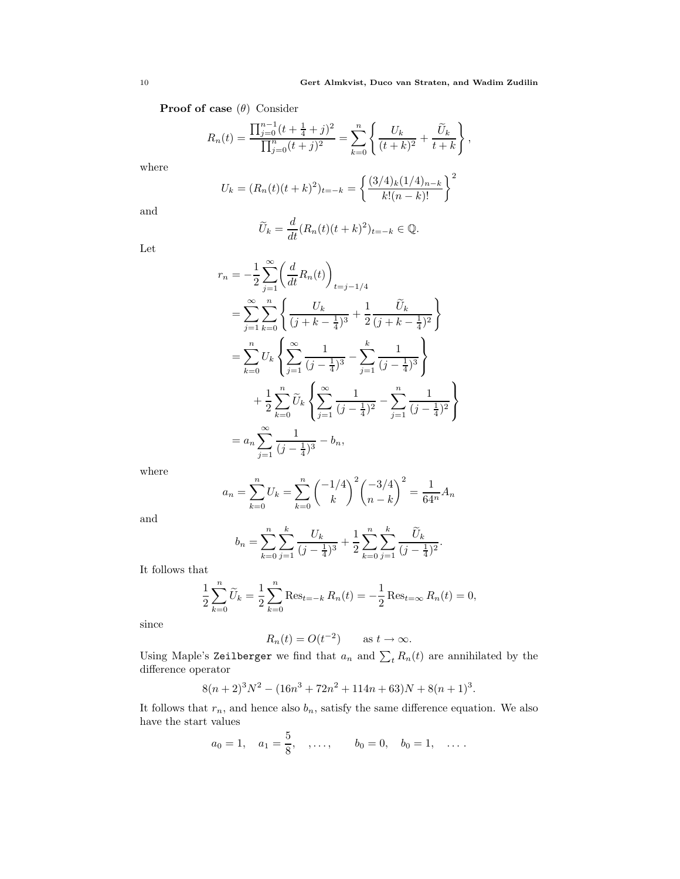**Proof of case**  $(\theta)$  Consider

$$
R_n(t) = \frac{\prod_{j=0}^{n-1} (t + \frac{1}{4} + j)^2}{\prod_{j=0}^n (t + j)^2} = \sum_{k=0}^n \left\{ \frac{U_k}{(t + k)^2} + \frac{\widetilde{U}_k}{t + k} \right\},
$$

where

$$
U_k = (R_n(t)(t+k)^2)_{t=-k} = \left\{ \frac{(3/4)_k (1/4)_{n-k}}{k!(n-k)!} \right\}^2
$$

and

$$
\widetilde{U}_k = \frac{d}{dt} (R_n(t)(t+k)^2)_{t=-k} \in \mathbb{Q}.
$$

Let

$$
r_n = -\frac{1}{2} \sum_{j=1}^{\infty} \left( \frac{d}{dt} R_n(t) \right)_{t=j-1/4}
$$
  
\n
$$
= \sum_{j=1}^{\infty} \sum_{k=0}^n \left\{ \frac{U_k}{(j+k-\frac{1}{4})^3} + \frac{1}{2} \frac{\tilde{U}_k}{(j+k-\frac{1}{4})^2} \right\}
$$
  
\n
$$
= \sum_{k=0}^n U_k \left\{ \sum_{j=1}^{\infty} \frac{1}{(j-\frac{1}{4})^3} - \sum_{j=1}^k \frac{1}{(j-\frac{1}{4})^3} \right\}
$$
  
\n
$$
+ \frac{1}{2} \sum_{k=0}^n \tilde{U}_k \left\{ \sum_{j=1}^{\infty} \frac{1}{(j-\frac{1}{4})^2} - \sum_{j=1}^n \frac{1}{(j-\frac{1}{4})^2} \right\}
$$
  
\n
$$
= a_n \sum_{j=1}^{\infty} \frac{1}{(j-\frac{1}{4})^3} - b_n,
$$

where

$$
a_n = \sum_{k=0}^n U_k = \sum_{k=0}^n {\binom{-1/4}{k}}^2 {\binom{-3/4}{n-k}}^2 = \frac{1}{64^n} A_n
$$

and

$$
b_n = \sum_{k=0}^n \sum_{j=1}^k \frac{U_k}{(j - \frac{1}{4})^3} + \frac{1}{2} \sum_{k=0}^n \sum_{j=1}^k \frac{\widetilde{U}_k}{(j - \frac{1}{4})^2}.
$$

It follows that

$$
\frac{1}{2} \sum_{k=0}^{n} \widetilde{U}_k = \frac{1}{2} \sum_{k=0}^{n} \text{Res}_{t=-k} R_n(t) = -\frac{1}{2} \text{Res}_{t=\infty} R_n(t) = 0,
$$

since

$$
R_n(t) = O(t^{-2}) \qquad \text{as } t \to \infty.
$$

Using Maple's Zeilberger we find that  $a_n$  and  $\sum_t R_n(t)$  are annihilated by the difference operator

$$
8(n+2)^3N^2 - (16n^3 + 72n^2 + 114n + 63)N + 8(n+1)^3.
$$

It follows that  $r_n$ , and hence also  $b_n$ , satisfy the same difference equation. We also have the start values

$$
a_0 = 1, \quad a_1 = \frac{5}{8}, \quad, \ldots, \qquad b_0 = 0, \quad b_0 = 1, \quad \ldots
$$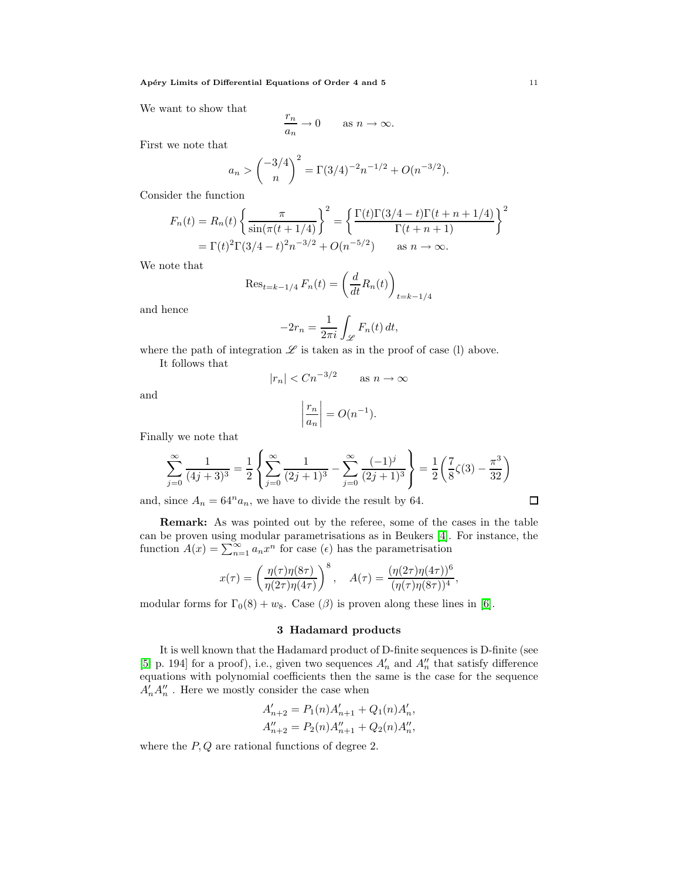We want to show that

$$
\frac{r_n}{a_n} \to 0 \quad \text{as } n \to \infty.
$$

First we note that

$$
a_n > {\binom{-3/4}{n}}^2 = \Gamma(3/4)^{-2}n^{-1/2} + O(n^{-3/2}).
$$

Consider the function

$$
F_n(t) = R_n(t) \left\{ \frac{\pi}{\sin(\pi(t+1/4))} \right\}^2 = \left\{ \frac{\Gamma(t)\Gamma(3/4 - t)\Gamma(t+n+1/4)}{\Gamma(t+n+1)} \right\}^2
$$
  
=  $\Gamma(t)^2 \Gamma(3/4 - t)^2 n^{-3/2} + O(n^{-5/2})$  as  $n \to \infty$ .

We note that

$$
\text{Res}_{t=k-1/4} F_n(t) = \left(\frac{d}{dt} R_n(t)\right)_{t=k-1/4}
$$

and hence

$$
-2r_n = \frac{1}{2\pi i} \int_{\mathscr{L}} F_n(t) dt,
$$

where the path of integration  $\mathscr L$  is taken as in the proof of case (l) above.

It follows that

$$
|r_n| < C n^{-3/2} \qquad \text{as } n \to \infty
$$

and

$$
\left|\frac{r_n}{a_n}\right| = O(n^{-1}).
$$

Finally we note that

$$
\sum_{j=0}^{\infty} \frac{1}{(4j+3)^3} = \frac{1}{2} \left\{ \sum_{j=0}^{\infty} \frac{1}{(2j+1)^3} - \sum_{j=0}^{\infty} \frac{(-1)^j}{(2j+1)^3} \right\} = \frac{1}{2} \left( \frac{7}{8} \zeta(3) - \frac{\pi^3}{32} \right)
$$

and, since  $A_n = 64^n a_n$ , we have to divide the result by 64.

Remark: As was pointed out by the referee, some of the cases in the table can be proven using modular parametrisations as in Beukers [\[4\]](#page-17-3). For instance, the function  $A(x) = \sum_{n=1}^{\infty} a_n x^n$  for case  $(\epsilon)$  has the parametrisation

$$
x(\tau) = \left(\frac{\eta(\tau)\eta(8\tau)}{\eta(2\tau)\eta(4\tau)}\right)^8, \quad A(\tau) = \frac{(\eta(2\tau)\eta(4\tau))^6}{(\eta(\tau)\eta(8\tau))^4},
$$

<span id="page-10-0"></span>modular forms for  $\Gamma_0(8) + w_8$ . Case ( $\beta$ ) is proven along these lines in [\[6\]](#page-17-2).

## 3 Hadamard products

It is well known that the Hadamard product of D-finite sequences is D-finite (see [\[5,](#page-17-4) p. 194] for a proof), i.e., given two sequences  $A'_n$  and  $A''_n$  that satisfy difference equations with polynomial coefficients then the same is the case for the sequence  $A'_n A''_n$ . Here we mostly consider the case when

$$
A'_{n+2} = P_1(n)A'_{n+1} + Q_1(n)A'_n,
$$
  

$$
A''_{n+2} = P_2(n)A''_{n+1} + Q_2(n)A''_n,
$$

<span id="page-10-1"></span>where the  $P, Q$  are rational functions of degree 2.

 $\Box$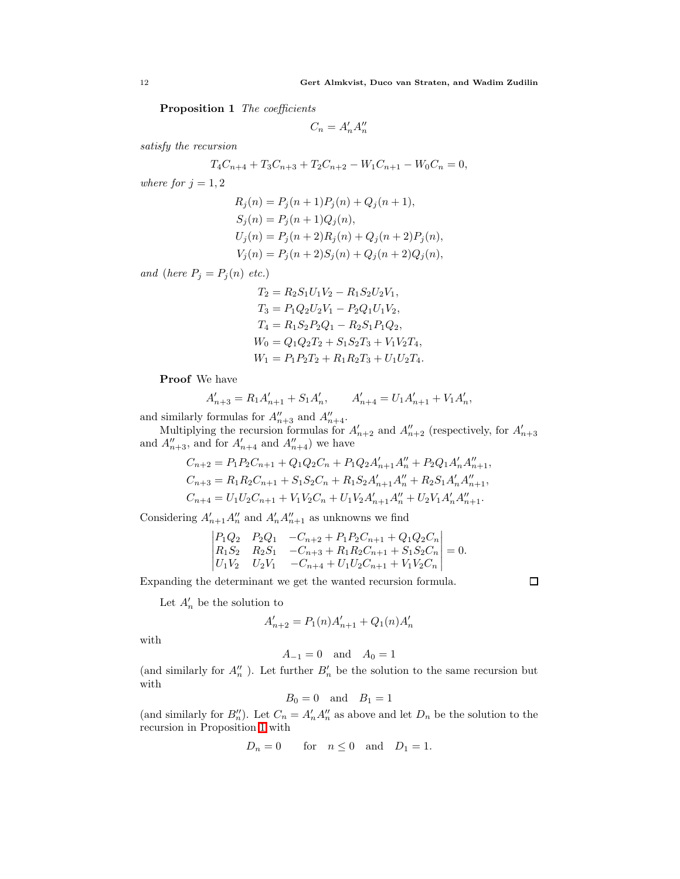Proposition 1 The coefficients

$$
C_n = A'_n A''_n
$$

satisfy the recursion

$$
T_4C_{n+4} + T_3C_{n+3} + T_2C_{n+2} - W_1C_{n+1} - W_0C_n = 0,
$$

where for  $j = 1, 2$ 

$$
R_j(n) = P_j(n + 1)P_j(n) + Q_j(n + 1),
$$
  
\n
$$
S_j(n) = P_j(n + 1)Q_j(n),
$$
  
\n
$$
U_j(n) = P_j(n + 2)R_j(n) + Q_j(n + 2)P_j(n),
$$
  
\n
$$
V_j(n) = P_j(n + 2)S_j(n) + Q_j(n + 2)Q_j(n),
$$

and (here  $P_j = P_j(n)$  etc.)

$$
T_2 = R_2 S_1 U_1 V_2 - R_1 S_2 U_2 V_1,
$$
  
\n
$$
T_3 = P_1 Q_2 U_2 V_1 - P_2 Q_1 U_1 V_2,
$$
  
\n
$$
T_4 = R_1 S_2 P_2 Q_1 - R_2 S_1 P_1 Q_2,
$$
  
\n
$$
W_0 = Q_1 Q_2 T_2 + S_1 S_2 T_3 + V_1 V_2 T_4,
$$
  
\n
$$
W_1 = P_1 P_2 T_2 + R_1 R_2 T_3 + U_1 U_2 T_4.
$$

Proof We have

$$
A_{n+3}^{\prime}=R_1A_{n+1}^{\prime}+S_1A_n^{\prime},\qquad A_{n+4}^{\prime}=U_1A_{n+1}^{\prime}+V_1A_n^{\prime},
$$

and similarly formulas for  $A''_{n+3}$  and  $A''_{n+4}$ .

Multiplying the recursion formulas for  $A'_{n+2}$  and  $A''_{n+2}$  (respectively, for  $A'_{n+3}$ ) and  $A''_{n+3}$ , and for  $A'_{n+4}$  and  $A''_{n+4}$ ) we have

$$
C_{n+2} = P_1 P_2 C_{n+1} + Q_1 Q_2 C_n + P_1 Q_2 A'_{n+1} A''_n + P_2 Q_1 A'_{n} A''_{n+1},
$$
  
\n
$$
C_{n+3} = R_1 R_2 C_{n+1} + S_1 S_2 C_n + R_1 S_2 A'_{n+1} A''_n + R_2 S_1 A'_{n} A''_{n+1},
$$
  
\n
$$
C_{n+4} = U_1 U_2 C_{n+1} + V_1 V_2 C_n + U_1 V_2 A'_{n+1} A''_n + U_2 V_1 A'_{n} A''_{n+1}.
$$

Considering  $A'_{n+1}A''_n$  and  $A'_nA''_{n+1}$  as unknowns we find

$$
\begin{vmatrix} P_1Q_2 & P_2Q_1 & -C_{n+2} + P_1P_2C_{n+1} + Q_1Q_2C_n \ R_1S_2 & R_2S_1 & -C_{n+3} + R_1R_2C_{n+1} + S_1S_2C_n \ U_1V_2 & U_2V_1 & -C_{n+4} + U_1U_2C_{n+1} + V_1V_2C_n \end{vmatrix} = 0.
$$

Expanding the determinant we get the wanted recursion formula.

 $\Box$ 

Let  $A'_n$  be the solution to

$$
A'_{n+2} = P_1(n)A'_{n+1} + Q_1(n)A'_n
$$

with

$$
A_{-1} = 0 \quad \text{and} \quad A_0 = 1
$$

(and similarly for  $A''_n$ ). Let further  $B'_n$  be the solution to the same recursion but with

$$
B_0 = 0 \quad \text{and} \quad B_1 = 1
$$

(and similarly for  $B''_n$ ). Let  $C_n = A'_n A''_n$  as above and let  $D_n$  be the solution to the recursion in Proposition [1](#page-10-1) with

$$
D_n = 0 \qquad \text{for} \quad n \le 0 \quad \text{and} \quad D_1 = 1.
$$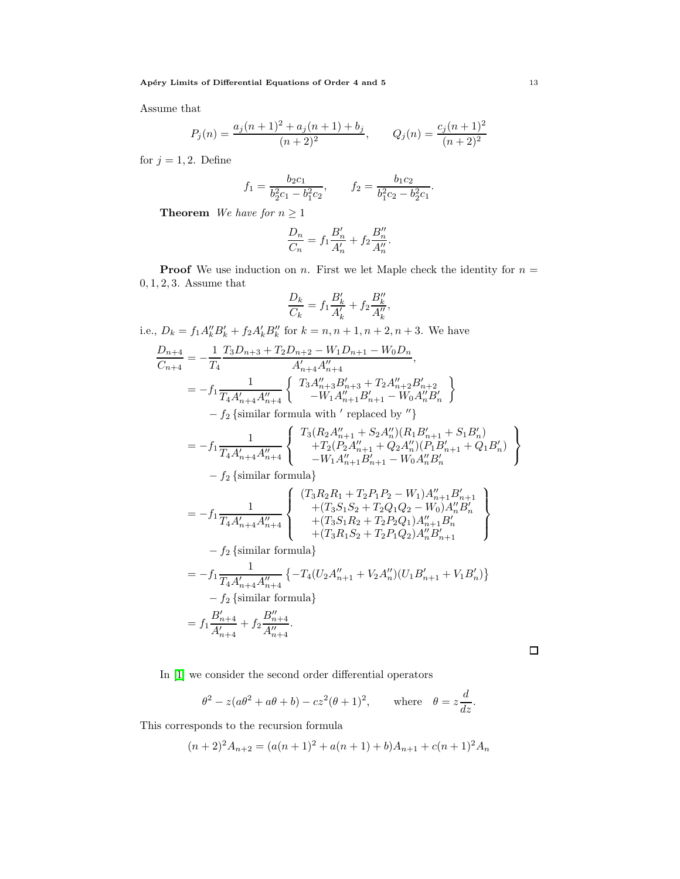Assume that

$$
P_j(n) = \frac{a_j(n+1)^2 + a_j(n+1) + b_j}{(n+2)^2}, \qquad Q_j(n) = \frac{c_j(n+1)^2}{(n+2)^2}
$$

for  $j = 1, 2$ . Define

$$
f_1 = \frac{b_2 c_1}{b_2^2 c_1 - b_1^2 c_2}, \qquad f_2 = \frac{b_1 c_2}{b_1^2 c_2 - b_2^2 c_1}.
$$

**Theorem** We have for  $n \geq 1$ 

$$
\frac{D_n}{C_n} = f_1 \frac{B'_n}{A'_n} + f_2 \frac{B''_n}{A''_n}.
$$

**Proof** We use induction on n. First we let Maple check the identity for  $n =$ 0, 1, 2, 3. Assume that

$$
\frac{D_k}{C_k} = f_1 \frac{B'_k}{A'_k} + f_2 \frac{B''_k}{A''_k},
$$

i.e.,  $D_k = f_1 A''_k B'_k + f_2 A'_k B''_k$  for  $k = n, n + 1, n + 2, n + 3$ . We have

$$
\frac{D_{n+4}}{C_{n+4}} = -\frac{1}{T_4} \frac{T_3 D_{n+3} + T_2 D_{n+2} - W_1 D_{n+1} - W_0 D_n}{A'_{n+4} A''_{n+4}},
$$
\n
$$
= -f_1 \frac{1}{T_4 A'_{n+4} A''_{n+4}} \left\{ \begin{array}{c} T_3 A''_{n+3} B'_{n+3} + T_2 A''_{n+2} B'_{n+2} \\ -W_1 A''_{n+1} B'_{n+1} - W_0 A''_n B'_n \end{array} \right\}
$$
\n
$$
= f_2 \text{ [similar formula with ' replaced by '']}.
$$

 $-f_2$  {similar formula with  $'$  replaced by  $"$ }

$$
=-f_{1}\frac{1}{T_{4}A_{n+4}^{\prime}A_{n+4}^{\prime\prime}}\left\{\begin{array}{c}T_{3}(R_{2}A_{n+1}^{\prime\prime}+S_{2}A_{n}^{\prime\prime})(R_{1}B_{n+1}^{\prime}+S_{1}B_{n}^{\prime})\\+T_{2}(P_{2}A_{n+1}^{\prime\prime}+Q_{2}A_{n}^{\prime\prime})(P_{1}B_{n+1}^{\prime}+Q_{1}B_{n}^{\prime})\\-W_{1}A_{n+1}^{\prime\prime}B_{n+1}^{\prime}-W_{0}A_{n}^{\prime\prime}B_{n}^{\prime}\end{array}\right\}
$$

 $-f_2$  {similar formula}

$$
= -f_{1} \frac{1}{T_{4}A'_{n+4}A''_{n+4}} \left\{ \begin{array}{l} (T_{3}R_{2}R_{1} + T_{2}P_{1}P_{2} - W_{1})A''_{n+1}B'_{n+1} \\ + (T_{3}S_{1}S_{2} + T_{2}Q_{1}Q_{2} - W_{0})A''_{n}B'_{n} \\ + (T_{3}S_{1}R_{2} + T_{2}P_{2}Q_{1})A''_{n+1}B'_{n} \\ + (T_{3}R_{1}S_{2} + T_{2}P_{1}Q_{2})A''_{n}B'_{n+1} \\ - f_{2} \left\{ \text{similar formula} \right\} \\ = -f_{1} \frac{1}{T_{4}A'_{n+4}A''_{n+4}} \left\{ -T_{4}(U_{2}A''_{n+1} + V_{2}A''_{n})(U_{1}B'_{n+1} + V_{1}B'_{n}) \right\} \\ - f_{2} \left\{ \text{similar formula} \right\} \\ = f_{1} \frac{B'_{n+4}}{A'_{n+4}} + f_{2} \frac{B''_{n+4}}{A''_{n+4}}. \end{array} \right.
$$

 $\Box$ 

In [\[1\]](#page-17-0) we consider the second order differential operators

$$
\theta^2 - z(a\theta^2 + a\theta + b) - cz^2(\theta + 1)^2
$$
, where  $\theta = z\frac{d}{dz}$ .

This corresponds to the recursion formula

$$
(n+2)^2 A_{n+2} = (a(n+1)^2 + a(n+1) + b)A_{n+1} + c(n+1)^2 A_n
$$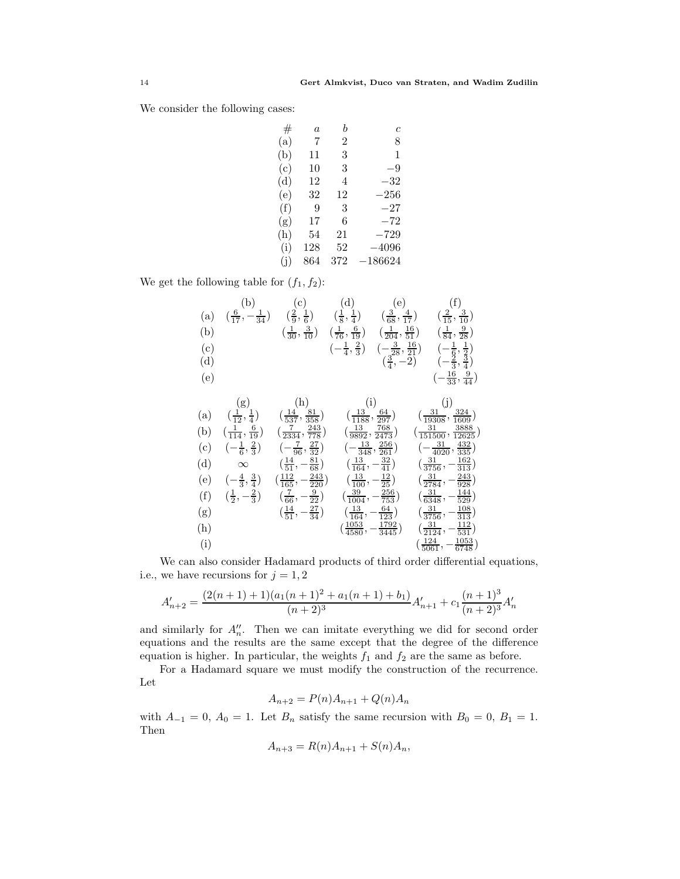We consider the following cases:

| #   | $\overline{a}$ | h   | c         |
|-----|----------------|-----|-----------|
| (a) | 7              | 2   | 8         |
| (b) | 11             | 3   | 1         |
| (c) | 10             | 3   | -9        |
| (d) | 12             | 4   | –32       |
| (e) | 32             | 12  | $-256\,$  |
| (f) | 9              | 3   | $-27$     |
| (g) | 17             | 6   | $-72$     |
| (h) | 54             | 21  | $-729$    |
| (i) | 128            | 52  | $-4096$   |
| (i) | 864            | 372 | $-186624$ |
|     |                |     |           |

We get the following table for  $(f_1, f_2)$ :

|     | (b)                                        | (c)                                              | (d)                                                  | (e)                                                                           | (f)                                                                                |
|-----|--------------------------------------------|--------------------------------------------------|------------------------------------------------------|-------------------------------------------------------------------------------|------------------------------------------------------------------------------------|
| (a) | $\left(\frac{6}{17}, -\frac{1}{34}\right)$ | $(\frac{2}{9}, \frac{1}{6})$                     | $(\frac{1}{8}, \frac{1}{4})$                         | $\left(\frac{3}{68},\frac{4}{17}\right)$                                      | $\left(\frac{2}{15},\frac{3}{10}\right)$                                           |
| (b) |                                            | $\left(\frac{1}{30}, \frac{3}{10}\right)$        | $(\frac{1}{76}, \frac{6}{19})$                       | $\left(\frac{1}{204}, \frac{16}{51}\right)$                                   | $\left(\frac{1}{84}, \frac{9}{28}\right)$                                          |
| (c) |                                            |                                                  | $\left(-\frac{1}{4},\frac{2}{3}\right)$              |                                                                               |                                                                                    |
| (d) |                                            |                                                  |                                                      | $\left(-\frac{3}{28}, \frac{16}{21}\right)$<br>$\left(\frac{3}{4}, -2\right)$ | $\left(-\frac{1}{6},\frac{1}{2}\right)$<br>$\left(-\frac{2}{3},\frac{3}{4}\right)$ |
| (e) |                                            |                                                  |                                                      |                                                                               | $\left(-\frac{16}{33}, \frac{9}{44}\right)$                                        |
|     |                                            |                                                  |                                                      |                                                                               |                                                                                    |
|     | (g)                                        | (h)                                              | (i)                                                  |                                                                               | (j)                                                                                |
| (a) | $(\frac{1}{12}, \frac{1}{4})$              | $\left(\frac{14}{537}, \frac{81}{358}\right)$    | $\left(\frac{13}{1188}, \frac{64}{297}\right)$       |                                                                               | $(\frac{31}{19308},\frac{324}{1609})$                                              |
| (b) | $\left(\frac{1}{114}, \frac{6}{19}\right)$ | $\left(\frac{7}{2334}, \frac{243}{778}\right)$   | $\left(\frac{13}{9892}, \frac{768}{2473}\right)$     |                                                                               | $\left(\frac{31}{151500}, \frac{3888}{12625}\right)$                               |
| (c) | $\left( -\frac{1}{6}, \frac{2}{3} \right)$ | $\left(-\frac{7}{96}, \frac{27}{32}\right)$      | $\left(-\frac{13}{348}, \frac{256}{261}\right)$      |                                                                               | $\left(-\frac{31}{4020}, \frac{432}{335}\right)$                                   |
| (d) | $\infty$                                   | $\left(\frac{14}{51}, -\frac{81}{68}\right)$     | $\left(\frac{13}{164},-\frac{32}{41}\right)$         |                                                                               | $\left(\frac{31}{3756}, -\frac{162}{313}\right)$                                   |
|     |                                            |                                                  |                                                      |                                                                               |                                                                                    |
| (e) | $\left(-\frac{4}{3},\frac{3}{4}\right)$    | $\left(\frac{112}{165}, -\frac{243}{220}\right)$ | $\left(\frac{13}{100}, -\frac{12}{25}\right)$        |                                                                               | $\left(\frac{31}{2784}, -\frac{243}{928}\right)$                                   |
| (f) | $(\frac{1}{2}, -\frac{2}{3})$              | $\left(\frac{7}{66}, -\frac{9}{22}\right)$       | $\left(\frac{39}{1004}, -\frac{256}{753}\right)$     |                                                                               | $\left(\frac{31}{6348}, -\frac{144}{529}\right)$                                   |
| (g) |                                            | $\left(\frac{14}{51}, -\frac{27}{34}\right)$     | $\left(\frac{13}{164}, -\frac{64}{123}\right)$       |                                                                               | $\left(\frac{31}{3756}, -\frac{108}{313}\right)$                                   |
| (h) |                                            |                                                  |                                                      |                                                                               | $\left(\frac{31}{2124}, -\frac{112}{531}\right)$                                   |
|     |                                            |                                                  | $\left(\frac{1053}{4580}, -\frac{1792}{3445}\right)$ |                                                                               |                                                                                    |
| (i) |                                            |                                                  |                                                      |                                                                               | $\left(\frac{124}{5061}, -\frac{1053}{6748}\right)$                                |

We can also consider Hadamard products of third order differential equations, i.e., we have recursions for  $j = 1, 2$ 

$$
A'_{n+2} = \frac{(2(n+1)+1)(a_1(n+1)^2 + a_1(n+1)+b_1)}{(n+2)^3}A'_{n+1} + c_1 \frac{(n+1)^3}{(n+2)^3}A'_n
$$

and similarly for  $A''_n$ . Then we can imitate everything we did for second order equations and the results are the same except that the degree of the difference equation is higher. In particular, the weights  $f_1$  and  $f_2$  are the same as before.

For a Hadamard square we must modify the construction of the recurrence. Let

$$
A_{n+2} = P(n)A_{n+1} + Q(n)A_n
$$

with  $A_{-1} = 0$ ,  $A_0 = 1$ . Let  $B_n$  satisfy the same recursion with  $B_0 = 0$ ,  $B_1 = 1$ . Then

$$
A_{n+3} = R(n)A_{n+1} + S(n)A_n,
$$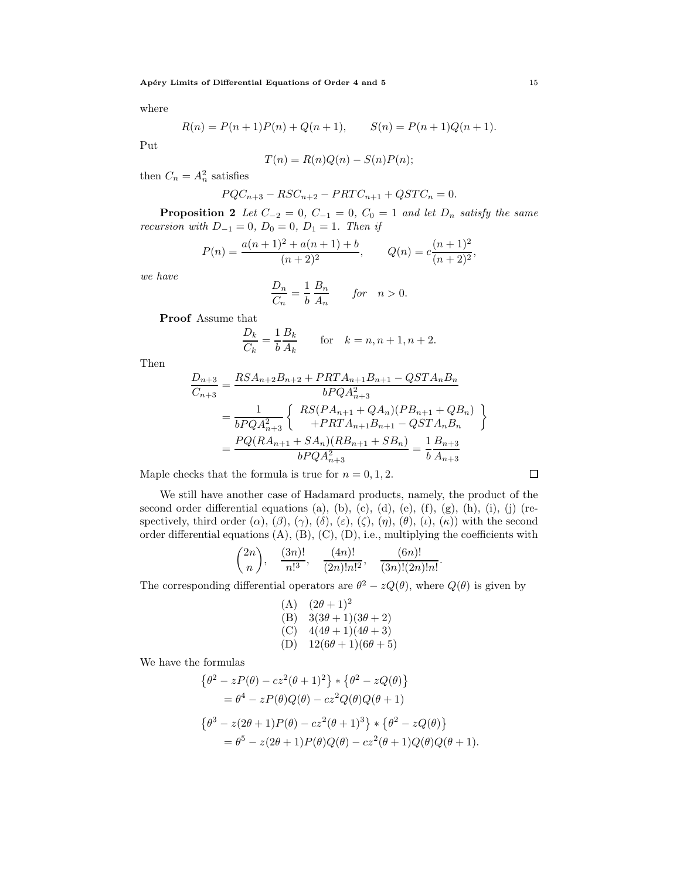where

$$
R(n) = P(n + 1)P(n) + Q(n + 1), \qquad S(n) = P(n + 1)Q(n + 1).
$$

Put

$$
T(n) = R(n)Q(n) - S(n)P(n);
$$

then  $C_n = A_n^2$  satisfies

$$
PQC_{n+3} - RSC_{n+2} - PRTC_{n+1} + QSTC_n = 0.
$$

**Proposition 2** Let  $C_{-2} = 0$ ,  $C_{-1} = 0$ ,  $C_0 = 1$  and let  $D_n$  satisfy the same recursion with  $D_{-1} = 0$ ,  $D_0 = 0$ ,  $D_1 = 1$ . Then if

$$
P(n) = \frac{a(n+1)^2 + a(n+1) + b}{(n+2)^2}, \qquad Q(n) = c \frac{(n+1)^2}{(n+2)^2},
$$

we have

$$
\frac{D_n}{C_n} = \frac{1}{b} \frac{B_n}{A_n} \qquad \text{for} \quad n > 0.
$$

Proof Assume that

$$
\frac{D_k}{C_k} = \frac{1}{b} \frac{B_k}{A_k}
$$
 for  $k = n, n + 1, n + 2$ .

Then

$$
\frac{D_{n+3}}{C_{n+3}} = \frac{RSA_{n+2}B_{n+2} + PRTA_{n+1}B_{n+1} - QSTA_nB_n}{bPQA_{n+3}^2}
$$
  
= 
$$
\frac{1}{bPQA_{n+3}^2} \left\{\n\begin{array}{c}\nRS(PA_{n+1} + QA_n)(PB_{n+1} + QB_n) \\
+ PRTA_{n+1}B_{n+1} - QSTA_nB_n\n\end{array}\n\right\}
$$
  
= 
$$
\frac{PQ(RA_{n+1} + SA_n)(RB_{n+1} + SB_n)}{bPQA_{n+3}^2} = \frac{1}{b}\frac{B_{n+3}}{A_{n+3}}
$$

Maple checks that the formula is true for  $n = 0, 1, 2$ .

We still have another case of Hadamard products, namely, the product of the second order differential equations (a), (b), (c), (d), (e), (f), (g), (h), (i), (j) (respectively, third order  $(\alpha)$ ,  $(\beta)$ ,  $(\gamma)$ ,  $(\delta)$ ,  $(\varepsilon)$ ,  $(\zeta)$ ,  $(\eta)$ ,  $(\theta)$ ,  $(\iota)$ ,  $(\kappa)$ ) with the second order differential equations  $(A)$ ,  $(B)$ ,  $(C)$ ,  $(D)$ , i.e., multiplying the coefficients with

$$
\binom{2n}{n}
$$
,  $\frac{(3n)!}{n!^3}$ ,  $\frac{(4n)!}{(2n)!n!^2}$ ,  $\frac{(6n)!}{(3n)!(2n)!n!}$ .

The corresponding differential operators are  $\theta^2 - zQ(\theta)$ , where  $Q(\theta)$  is given by

(A) 
$$
(2\theta + 1)^2
$$
  
\n(B)  $3(3\theta + 1)(3\theta + 2)$   
\n(C)  $4(4\theta + 1)(4\theta + 3)$   
\n(D)  $12(6\theta + 1)(6\theta + 5)$ 

We have the formulas

$$
\begin{aligned} \left\{\theta^2 - zP(\theta) - cz^2(\theta + 1)^2\right\} & \times \left\{\theta^2 - zQ(\theta)\right\} \\ &= \theta^4 - zP(\theta)Q(\theta) - cz^2Q(\theta)Q(\theta + 1) \\ \left\{\theta^3 - z(2\theta + 1)P(\theta) - cz^2(\theta + 1)^3\right\} & \times \left\{\theta^2 - zQ(\theta)\right\} \\ &= \theta^5 - z(2\theta + 1)P(\theta)Q(\theta) - cz^2(\theta + 1)Q(\theta)Q(\theta + 1) \end{aligned}
$$

 $\Box$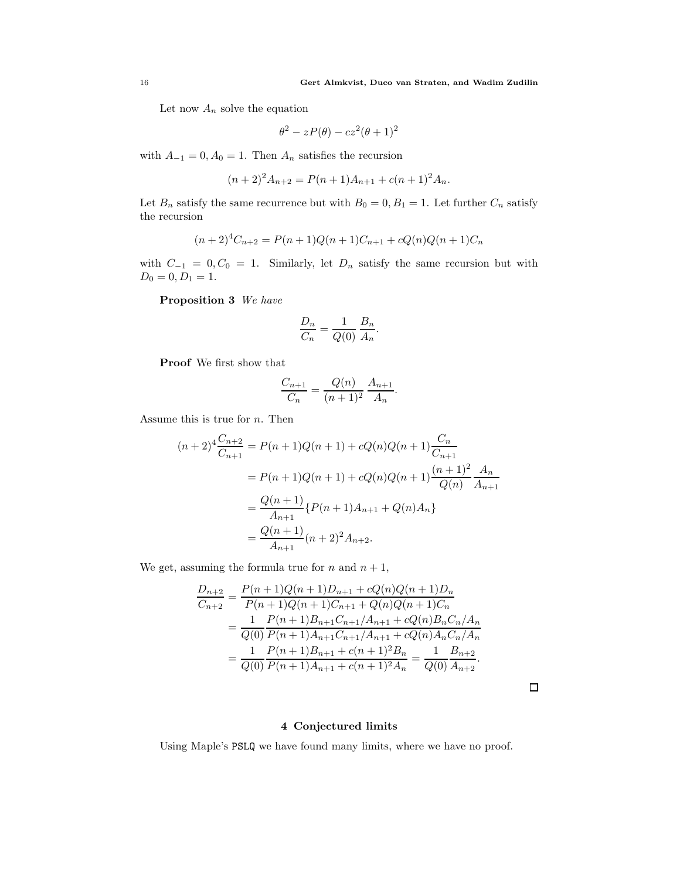Let now  $A_n$  solve the equation

$$
\theta^2 - zP(\theta) - cz^2(\theta + 1)^2
$$

with  $A_{-1} = 0, A_0 = 1$ . Then  $A_n$  satisfies the recursion

$$
(n+2)^2 A_{n+2} = P(n+1)A_{n+1} + c(n+1)^2 A_n.
$$

Let  $B_n$  satisfy the same recurrence but with  $B_0 = 0, B_1 = 1$ . Let further  $C_n$  satisfy the recursion

$$
(n+2)^{4}C_{n+2} = P(n+1)Q(n+1)C_{n+1} + cQ(n)Q(n+1)C_{n}
$$

with  $C_{-1} = 0, C_0 = 1$ . Similarly, let  $D_n$  satisfy the same recursion but with  $D_0 = 0, D_1 = 1.$ 

Proposition 3 We have

$$
\frac{D_n}{C_n} = \frac{1}{Q(0)} \frac{B_n}{A_n}.
$$

Proof We first show that

$$
\frac{C_{n+1}}{C_n} = \frac{Q(n)}{(n+1)^2} \frac{A_{n+1}}{A_n}.
$$

Assume this is true for  $n$ . Then

$$
(n+2)^4 \frac{C_{n+2}}{C_{n+1}} = P(n+1)Q(n+1) + cQ(n)Q(n+1)\frac{C_n}{C_{n+1}}
$$
  
=  $P(n+1)Q(n+1) + cQ(n)Q(n+1)\frac{(n+1)^2}{Q(n)}\frac{A_n}{A_{n+1}}$   
=  $\frac{Q(n+1)}{A_{n+1}}\{P(n+1)A_{n+1} + Q(n)A_n\}$   
=  $\frac{Q(n+1)}{A_{n+1}}(n+2)^2A_{n+2}$ .

We get, assuming the formula true for  $n$  and  $n + 1$ ,

$$
\frac{D_{n+2}}{C_{n+2}} = \frac{P(n+1)Q(n+1)D_{n+1} + cQ(n)Q(n+1)D_n}{P(n+1)Q(n+1)C_{n+1} + Q(n)Q(n+1)C_n}
$$
  
= 
$$
\frac{1}{Q(0)} \frac{P(n+1)B_{n+1}C_{n+1}/A_{n+1} + cQ(n)B_nC_n/A_n}{P(n+1)A_{n+1}C_{n+1}/A_{n+1} + cQ(n)A_nC_n/A_n}
$$
  
= 
$$
\frac{1}{Q(0)} \frac{P(n+1)B_{n+1} + c(n+1)^2B_n}{P(n+1)A_{n+1} + c(n+1)^2A_n} = \frac{1}{Q(0)} \frac{B_{n+2}}{A_{n+2}}.
$$

 $\Box$ 

## 4 Conjectured limits

<span id="page-15-0"></span>Using Maple's PSLQ we have found many limits, where we have no proof.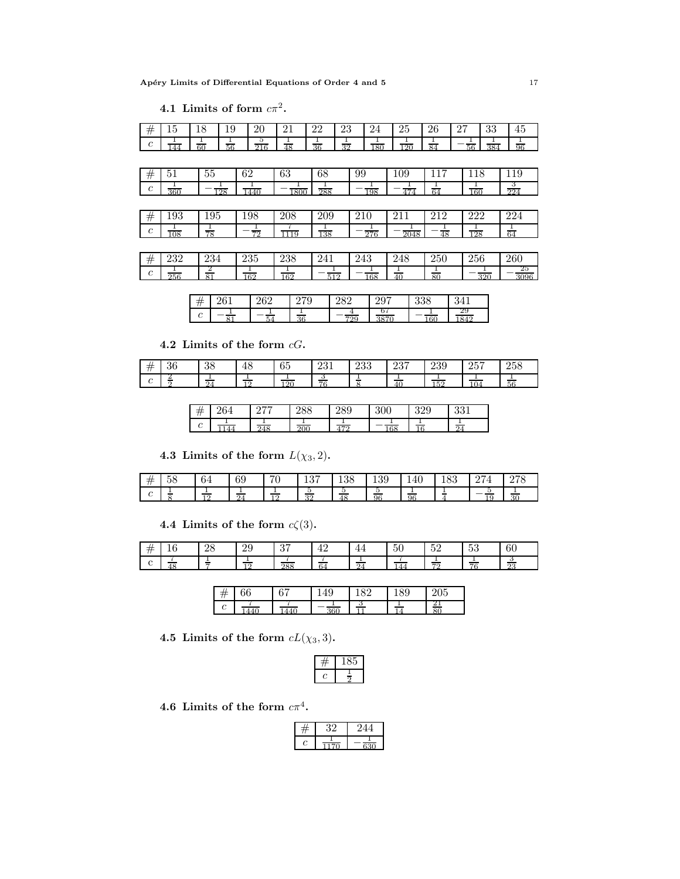|  | 4.1 Limits of form $c\pi^2$ . |  |  |  |
|--|-------------------------------|--|--|--|
|--|-------------------------------|--|--|--|

| #                | 15  | 18              | 19      | 20       | 21             | 22             | 23             | 24  | 25           | 26           | 27       | 33               | 45                      |
|------------------|-----|-----------------|---------|----------|----------------|----------------|----------------|-----|--------------|--------------|----------|------------------|-------------------------|
| $\boldsymbol{c}$ | 144 | $rac{1}{60}$    | Ŧ<br>56 | 5<br>216 | $\frac{1}{48}$ | $\frac{1}{36}$ | $\frac{1}{32}$ | 180 | Ŧ<br>120     | 84           | 56       | 384              | $rac{1}{96}$            |
|                  |     |                 |         |          |                |                |                |     |              |              |          |                  |                         |
| $^{\#}$          | 51  | 55              |         | 62       | 63             | 68             | 99             |     | 109          | 117          | 118      |                  | 119                     |
| $\boldsymbol{c}$ | 360 |                 | 128     | 1440     | 1800           | Ŧ<br>288       |                | 198 | 474          | 64           | 160      |                  | 3<br>224                |
|                  |     |                 |         |          |                |                |                |     |              |              |          |                  |                         |
| #                | 193 | 195             |         | 198      | 208            | 209            | 210            |     | 211          | 212          | 222      |                  | 224                     |
| $\boldsymbol{c}$ | 108 | $rac{1}{78}$    |         | 72       | 1119           | Ŧ<br>138       |                | 276 | 2048         | 48           | ┻<br>128 |                  | $\frac{1}{64}$          |
|                  |     |                 |         |          |                |                |                |     |              |              |          |                  |                         |
| $^{\#}$          | 232 | 234             |         | 235      | 238            | 241            | 243            |     | 248          | 250          | 256      |                  | 260                     |
| $\boldsymbol{c}$ | 256 | $\frac{2}{81}$  |         | 162      | 162            | 512            |                | 168 | $rac{1}{40}$ | $rac{1}{80}$ |          | $\overline{320}$ | 25<br>$\overline{3096}$ |
|                  |     |                 |         |          |                |                |                |     |              |              |          |                  |                         |
|                  |     | $\overline{11}$ | 261     | ററ       | 270            |                | າຂາ            | 207 | 338          |              | 3/11     |                  |                         |

|        | $\sim$<br>UΔ<br>∠ | ◡<br>٠   | ∠ບ<br>—    | ້ |          | . .            |
|--------|-------------------|----------|------------|---|----------|----------------|
| ⌒<br>U |                   | $\Omega$ | 700<br>. . |   | $\alpha$ | $\overline{a}$ |

4.2 Limits of the form  $cG$ .

| ≠<br>$^{\prime\prime}$ | n e<br>50   | $\Omega$<br>ഄഄ                             | 40 | $\sim$ $\sim$<br>∪⊍ | റച<br>49⊥     | റാറ<br>∠ບບ | 00H<br>∠⊖ ।            | 239                        | 257<br>∠⊍ | 258 |
|------------------------|-------------|--------------------------------------------|----|---------------------|---------------|------------|------------------------|----------------------------|-----------|-----|
| ╭<br>◡                 | .<br>-<br>- | $\overline{\phantom{a}}$<br>__<br>$\Omega$ | 10 | ാല                  | ಀ<br>__<br>76 | $\sim$     | $\sim$<br>$40^{\circ}$ | $\sim$ $\sim$ $\sim$<br>υ. | 104       | 56  |

| $^{\prime\prime}$ | '04       | $- -$<br>" | $\sim$ $\sim$<br>400 | ററെ<br>◡<br>∠∪ບ | 300 | ാറല<br>ບ∠ບ | 001<br>99 T |
|-------------------|-----------|------------|----------------------|-----------------|-----|------------|-------------|
| ⌒<br>U            | $\Lambda$ | <b>245</b> | ገበ                   | 57              | 68  |            | $\Omega$    |

4.3 Limits of the form  $L(\chi_3, 2)$ .

| #               | $ -$<br>∽<br>Эŏ | $\epsilon$<br>04 | $\alpha$<br>69     | H C<br>υ | 10H<br>ᅶᇦᅧ      | 10C<br>190 | ഹ<br>159 | 140          | 100    | $\sim$ $-$<br>- | $\sim$ $\sim$ $\sim$<br>∽ |
|-----------------|-----------------|------------------|--------------------|----------|-----------------|------------|----------|--------------|--------|-----------------|---------------------------|
| $\sqrt{2}$<br>◡ | $\sim$          | $-$<br>10        | $\sim$<br>$\Omega$ | 10       | ູ<br>$^{\circ}$ | ູບ.<br>48  | ್<br>96  | $\sim$<br>96 | $\sim$ |                 | 20<br>. .                 |

4.4 Limits of the form  $c\zeta(3)$ .

| -<br>-     | ⊿⊖     | ഹ<br>$\overline{\omega}$ | ົ<br>U 1   | -<br>≖ |                                    | $\sim$ $\sim$<br>$\sim$<br>ΩU | - -<br>◡▵         | $ -$<br>ಀಀ       | $\sim$ $\sim$<br>- OU  |
|------------|--------|--------------------------|------------|--------|------------------------------------|-------------------------------|-------------------|------------------|------------------------|
| $\epsilon$ | $\sim$ | -C                       | ററെ<br>OC. | 64     | $\overline{\phantom{a}}$<br>$\sim$ |                               | $-$<br>$H \Omega$ | $\sim$<br>$\sim$ | ___<br>$\Omega$<br>$-$ |

|                 | v | $\sim$ $-$<br>U | u<br>ΞU | ັ | ч<br>υō | $\sim$ $\sim$<br>U5           |
|-----------------|---|-----------------|---------|---|---------|-------------------------------|
| $\sqrt{2}$<br>ັ |   |                 |         | ◡ |         | 41<br>$\overline{\mathsf{a}}$ |

4.5 Limits of the form  $cL(\chi_3, 3)$ .

 $4.6\,$  Limits of the form  $c\pi^4.$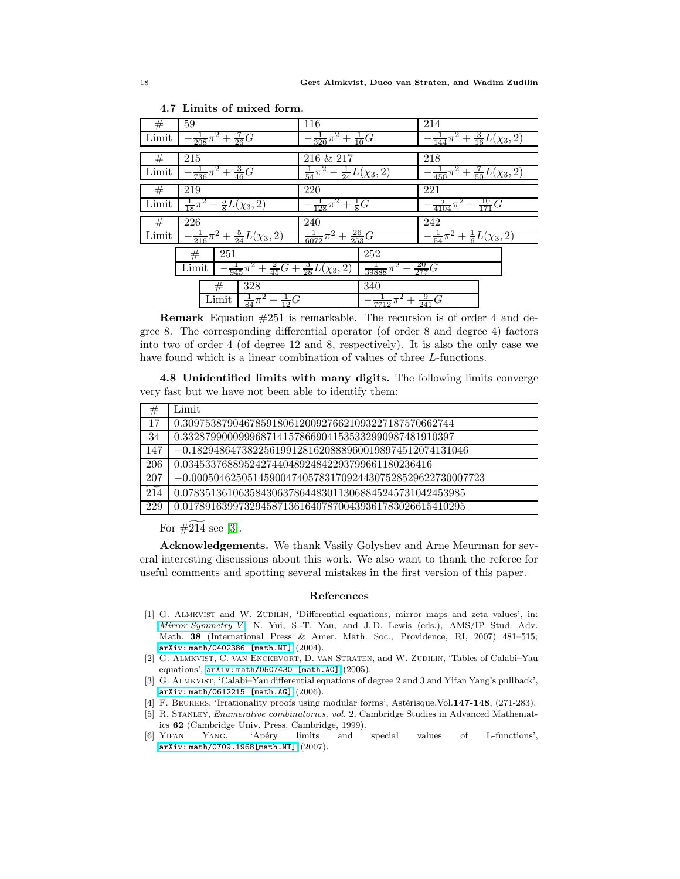| #     | 59                                                                               | 116                                             | 214                                                |
|-------|----------------------------------------------------------------------------------|-------------------------------------------------|----------------------------------------------------|
| Limit | $\frac{1}{208}\pi^2 + \frac{7}{26}G$                                             | $\frac{1}{320}\pi^2 + \frac{1}{10}G$            | $\frac{1}{144}\pi^2 + \frac{3}{16}L(\chi_3, 2)$    |
|       |                                                                                  |                                                 |                                                    |
| #     | 215                                                                              | 216 & 217                                       | 218                                                |
| Limit | $\frac{1}{736}\pi^2 + \frac{3}{46}G$                                             | $\frac{1}{24}L(\chi_3, 2)$<br>$\frac{1}{54}\pi$ | $+\frac{7}{50}L(\chi_3,2)$<br>$\frac{1}{450}\pi^2$ |
| #     | 219                                                                              | 220                                             | 221                                                |
| Limit | $\frac{5}{8}L(\chi_3, 2)$<br>$\frac{1}{18}\pi$                                   | $\frac{1}{8}G$<br>$\frac{1}{128}\pi$            | $\frac{10}{171}G$<br>$rac{5}{4104}$                |
| #     | 226                                                                              | 240                                             | 242                                                |
| Limit | $\frac{1}{216}\pi^2+\frac{5}{24}L(\chi_3,2)$                                     | $\frac{26}{253}G$<br>$\frac{1}{6072}\pi$<br>$+$ | $-\frac{1}{54}\pi^2+\frac{1}{6}L(\chi_3,2)$        |
|       | 251<br>#<br>$-\frac{1}{945}\pi^2+\frac{2}{45}G+\frac{3}{28}L(\chi_3,2)$<br>Limit | 252<br>$\frac{1}{39888}\pi^4$                   | $\frac{20}{277}G$                                  |
|       | 328<br>#<br>Limit<br>$\frac{1}{12}G$<br>$rac{1}{84}$<br>π                        | 340<br>$\frac{7712}{\pi}$                       | $+\frac{9}{241}G$                                  |

4.7 Limits of mixed form.

Remark Equation #251 is remarkable. The recursion is of order 4 and degree 8. The corresponding differential operator (of order 8 and degree 4) factors into two of order 4 (of degree 12 and 8, respectively). It is also the only case we have found which is a linear combination of values of three L-functions.

4.8 Unidentified limits with many digits. The following limits converge very fast but we have not been able to identify them:

| #                 | Limit                                                      |
|-------------------|------------------------------------------------------------|
| 17                | 0.3097538790467859180612009276621093227187570662744        |
| 34                | 0.3328799000999687141578669041535332990987481910397        |
| 147               | $-0.18294864738225619912816208889600198974512074131046$    |
| 206               | 0.034533768895242744048924842293799661180236416            |
| 207               | $-0.00050462505145900474057831709244307528529622730007723$ |
| $\widetilde{214}$ | 0.078351361063584306378644830113068845245731042453985      |
| 229               | 0.017891639973294587136164078700439361783026615410295      |

For  $\#214$  see [\[3\]](#page-17-5).

Acknowledgements. We thank Vasily Golyshev and Arne Meurman for several interesting discussions about this work. We also want to thank the referee for useful comments and spotting several mistakes in the first version of this paper.

### References

- <span id="page-17-0"></span>[1] G. Almkvist and W. Zudilin, 'Differential equations, mirror maps and zeta values', in: [Mirror Symmetry V](http://www.ams.org/bookstore-getitem?item=AMSIP-38), N. Yui, S.-T. Yau, and J.D. Lewis (eds.), AMS/IP Stud. Adv. Math. 38 (International Press & Amer. Math. Soc., Providence, RI, 2007) 481–515; [arXiv: math/0402386 \[math.NT\]](http://arxiv.org/abs/math.NT/0402386) (2004).
- <span id="page-17-1"></span>[2] G. Almkvist, C. van Enckevort, D. van Straten, and W. Zudilin, 'Tables of Calabi–Yau equations', [arXiv: math/0507430 \[math.AG\]](http://arxiv.org/abs/math.AG/0507430) (2005).
- <span id="page-17-5"></span>[3] G. ALMKVIST, 'Calabi–Yau differential equations of degree 2 and 3 and Yifan Yang's pullback', [arXiv: math/0612215 \[math.AG\]](http://arxiv.org/abs/math.AG/0612215) (2006).
- <span id="page-17-4"></span><span id="page-17-3"></span>[4] F. BEUKERS, 'Irrationality proofs using modular forms', Astérisque,Vol.147-148, (271-283).
- [5] R. Stanley, Enumerative combinatorics, vol. 2, Cambridge Studies in Advanced Mathematics (Cambridge Univ. Press, Cambridge, 1999).<br>YIFAN YANG, 'Apéry limits and
- <span id="page-17-2"></span>[6] Yifan Yang, 'Ap´ery limits and special values of L-functions', [arXiv: math/0709.1968\[math.NT\]](http://arxiv.org/abs/math.NT/0709.1968) (2007).